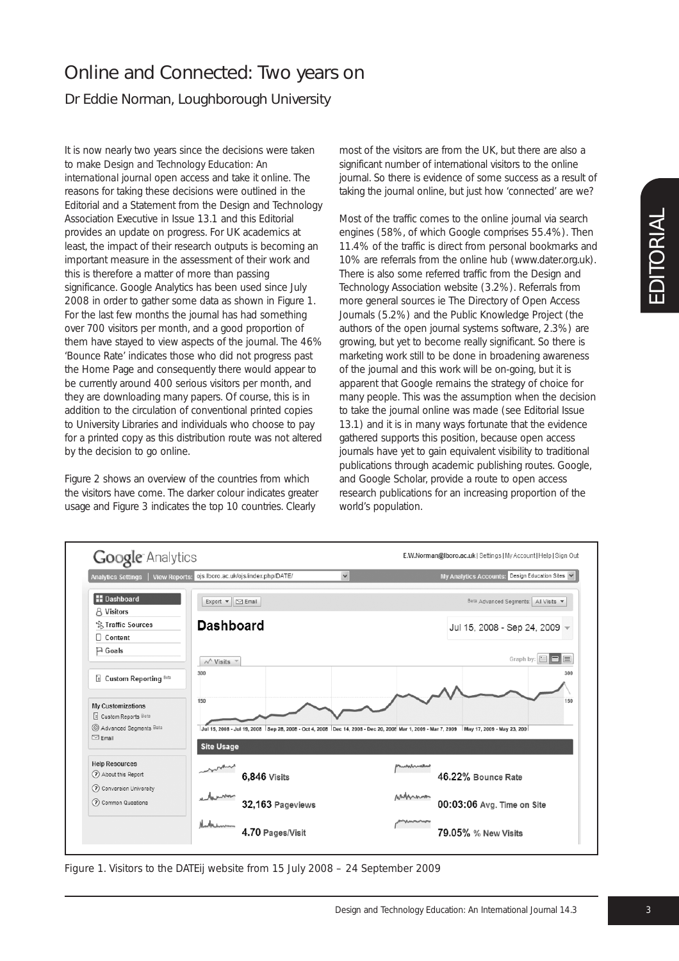## Online and Connected: Two years on

Dr Eddie Norman, Loughborough University

It is now nearly two years since the decisions were taken to make *Design and Technology Education: An international journal* open access and take it online. The reasons for taking these decisions were outlined in the Editorial and a Statement from the Design and Technology Association Executive in Issue 13.1 and this Editorial provides an update on progress. For UK academics at least, the impact of their research outputs is becoming an important measure in the assessment of their work and this is therefore a matter of more than passing significance. Google Analytics has been used since July 2008 in order to gather some data as shown in Figure 1. For the last few months the journal has had something over 700 visitors per month, and a good proportion of them have stayed to view aspects of the journal. The 46% 'Bounce Rate' indicates those who did not progress past the Home Page and consequently there would appear to be currently around 400 serious visitors per month, and they are downloading many papers. Of course, this is in addition to the circulation of conventional printed copies to University Libraries and individuals who choose to pay for a printed copy as this distribution route was not altered by the decision to go online.

Figure 2 shows an overview of the countries from which the visitors have come. The darker colour indicates greater usage and Figure 3 indicates the top 10 countries. Clearly

most of the visitors are from the UK, but there are also a significant number of international visitors to the online journal. So there is evidence of some success as a result of taking the journal online, but just how 'connected' are we?

Most of the traffic comes to the online journal via search engines (58%, of which Google comprises 55.4%). Then 11.4% of the traffic is direct from personal bookmarks and 10% are referrals from the online hub (www.dater.org.uk). There is also some referred traffic from the Design and Technology Association website (3.2%). Referrals from more general sources ie The Directory of Open Access Journals (5.2%) and the Public Knowledge Project (the authors of the open journal systems software, 2.3%) are growing, but yet to become really significant. So there is marketing work still to be done in broadening awareness of the journal and this work will be on-going, but it is apparent that Google remains the strategy of choice for many people. This was the assumption when the decision to take the journal online was made (see Editorial Issue 13.1) and it is in many ways fortunate that the evidence gathered supports this position, because open access journals have vet to gain equivalent visibility to traditional publications through academic publishing routes. Google, and Google Scholar, provide a route to open access research publications for an increasing proportion of the world's population.



*Figure 1. Visitors to the DATEij website from 15 July 2008 – 24 September 2009*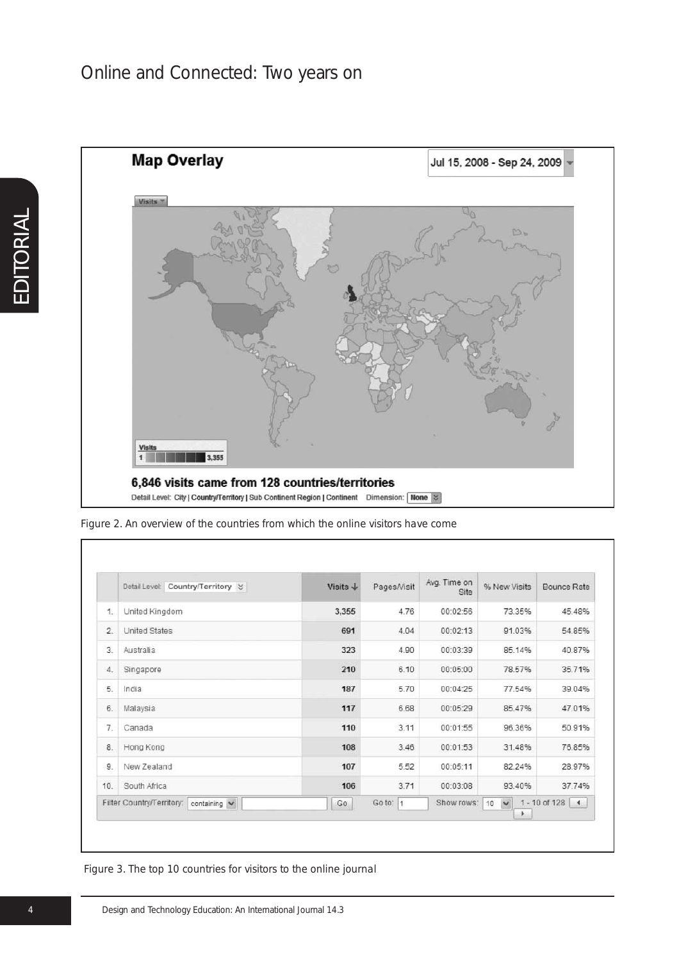

*Figure 2. An overview of the countries from which the online visitors have come*

|                | Detail Level: Country/Territory %         | Visits $\downarrow$ | Pages/Visit            | Avg. Time on<br>Site | % New Visits            | Bounce Rate                |
|----------------|-------------------------------------------|---------------------|------------------------|----------------------|-------------------------|----------------------------|
| $\mathbf{1}$   | United Kingdom                            | 3,355               | 4.76                   | 00:02:56             | 73.35%                  | 45.48%                     |
| $\overline{2}$ | <b>United States</b>                      | 691                 | 4.04                   | 00:02:13             | 91.03%                  | 54.85%                     |
| 3.             | Australia                                 | 323                 | 4.90                   | 00:03:39             | 85.14%                  | 40.87%                     |
| $\overline{4}$ | Singapore                                 | 210                 | 6.10                   | 00:05:00             | 78.57%                  | 35.71%                     |
| 5.             | India                                     | 187                 | 5.70                   | 00:04:25             | 77.54%                  | 39.04%                     |
| 6.             | Malaysia                                  | 117                 | 6.68                   | 00:05:29             | 85.47%                  | 47.01%                     |
| $\overline{7}$ | Canada                                    | 110                 | 3.11                   | 00:01:55             | 96.36%                  | 50.91%                     |
| 8              | Hong Kong                                 | 108                 | 3.46                   | 00:01:53             | 31.48%                  | 76.85%                     |
| 9              | New Zealand                               | 107                 | 5.52                   | 00:05:11             | 82.24%                  | 28.97%                     |
| 10.            | South Africa                              | 106                 | 3.71                   | 00:03:08             | 93.40%                  | 37.74%                     |
|                | Filter Country/Territory:<br>containing V | Go                  | Go to:<br>$\mathbf{1}$ | Show rows:           | $\checkmark$<br>10<br>۰ | $1 - 10$ of 128 $\sqrt{4}$ |

*Figure 3. The top 10 countries for visitors to the online journal*